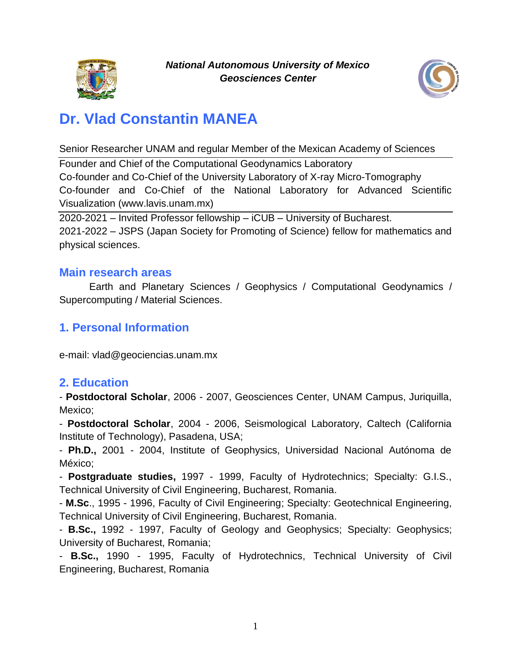



# **Dr. Vlad Constantin MANEA**

Senior Researcher UNAM and regular Member of the Mexican Academy of Sciences

Founder and Chief of the Computational Geodynamics Laboratory Co-founder and Co-Chief of the University Laboratory of X-ray Micro-Tomography Co-founder and Co-Chief of the National Laboratory for Advanced Scientific Visualization (www.lavis.unam.mx)

2020-2021 – Invited Professor fellowship – iCUB – University of Bucharest. 2021-2022 – JSPS (Japan Society for Promoting of Science) fellow for mathematics and physical sciences.

#### **Main research areas**

Earth and Planetary Sciences / Geophysics / Computational Geodynamics / Supercomputing / Material Sciences.

## **1. Personal Information**

e-mail: vlad@geociencias.unam.mx

#### **2. Education**

- **Postdoctoral Scholar**, 2006 - 2007, Geosciences Center, UNAM Campus, Juriquilla, Mexico;

- **Postdoctoral Scholar**, 2004 - 2006, Seismological Laboratory, Caltech (California Institute of Technology), Pasadena, USA;

- **Ph.D.,** 2001 - 2004, Institute of Geophysics, Universidad Nacional Autónoma de México;

- **Postgraduate studies,** 1997 - 1999, Faculty of Hydrotechnics; Specialty: G.I.S., Technical University of Civil Engineering, Bucharest, Romania.

- **M.Sc**., 1995 - 1996, Faculty of Civil Engineering; Specialty: Geotechnical Engineering, Technical University of Civil Engineering, Bucharest, Romania.

- **B.Sc.,** 1992 - 1997, Faculty of Geology and Geophysics; Specialty: Geophysics; University of Bucharest, Romania;

- **B.Sc.,** 1990 - 1995, Faculty of Hydrotechnics, Technical University of Civil Engineering, Bucharest, Romania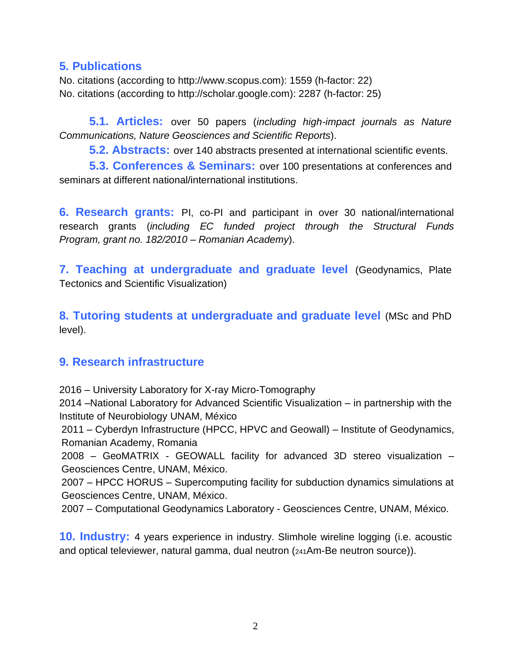#### **5. Publications**

No. citations (according to http://www.scopus.com): 1559 (h-factor: 22) No. citations (according to http://scholar.google.com): 2287 (h-factor: 25)

**5.1. Articles:** over 50 papers (*including high-impact journals as Nature Communications, Nature Geosciences and Scientific Reports*).

**5.2. Abstracts:** over 140 abstracts presented at international scientific events.

**5.3. Conferences & Seminars:** over 100 presentations at conferences and seminars at different national/international institutions.

**6. Research grants:** PI, co-PI and participant in over 30 national/international research grants (*including EC funded project through the Structural Funds Program, grant no. 182/2010 – Romanian Academy*).

**7. Teaching at undergraduate and graduate level** (Geodynamics, Plate Tectonics and Scientific Visualization)

**8. Tutoring students at undergraduate and graduate level** (MSc and PhD level).

#### **9. Research infrastructure**

2016 – University Laboratory for X-ray Micro-Tomography

2014 –National Laboratory for Advanced Scientific Visualization – in partnership with the Institute of Neurobiology UNAM, México

2011 – Cyberdyn Infrastructure (HPCC, HPVC and Geowall) – Institute of Geodynamics, Romanian Academy, Romania

2008 – GeoMATRIX - GEOWALL facility for advanced 3D stereo visualization – Geosciences Centre, UNAM, México.

2007 – HPCC HORUS – Supercomputing facility for subduction dynamics simulations at Geosciences Centre, UNAM, México.

2007 – Computational Geodynamics Laboratory - Geosciences Centre, UNAM, México.

**10. Industry:** 4 years experience in industry. Slimhole wireline logging (i.e. acoustic and optical televiewer, natural gamma, dual neutron (241Am-Be neutron source)).